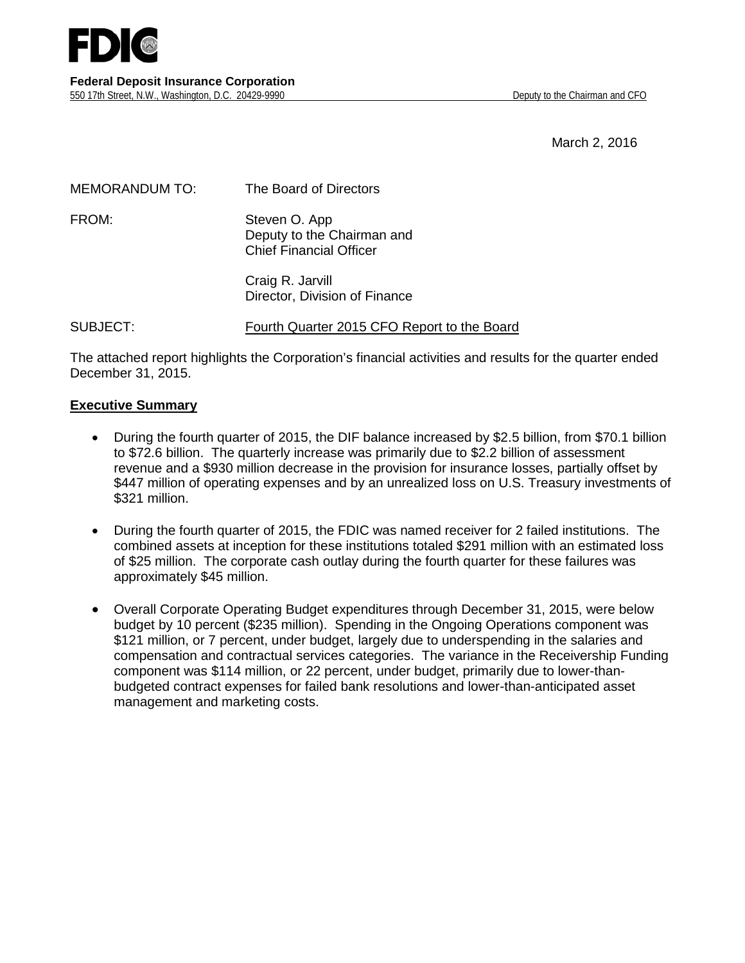

March 2, 2016

| <b>MEMORANDUM TO:</b> | The Board of Directors                                                        |
|-----------------------|-------------------------------------------------------------------------------|
| FROM:                 | Steven O. App<br>Deputy to the Chairman and<br><b>Chief Financial Officer</b> |
|                       | Craig R. Jarvill<br>Director, Division of Finance                             |

SUBJECT: Fourth Quarter 2015 CFO Report to the Board

The attached report highlights the Corporation's financial activities and results for the quarter ended December 31, 2015.

#### **Executive Summary**

- During the fourth quarter of 2015, the DIF balance increased by \$2.5 billion, from \$70.1 billion to \$72.6 billion. The quarterly increase was primarily due to \$2.2 billion of assessment revenue and a \$930 million decrease in the provision for insurance losses, partially offset by \$447 million of operating expenses and by an unrealized loss on U.S. Treasury investments of \$321 million.
- During the fourth quarter of 2015, the FDIC was named receiver for 2 failed institutions. The combined assets at inception for these institutions totaled \$291 million with an estimated loss of \$25 million. The corporate cash outlay during the fourth quarter for these failures was approximately \$45 million.
- Overall Corporate Operating Budget expenditures through December 31, 2015, were below budget by 10 percent (\$235 million). Spending in the Ongoing Operations component was \$121 million, or 7 percent, under budget, largely due to underspending in the salaries and compensation and contractual services categories. The variance in the Receivership Funding component was \$114 million, or 22 percent, under budget, primarily due to lower-thanbudgeted contract expenses for failed bank resolutions and lower-than-anticipated asset management and marketing costs.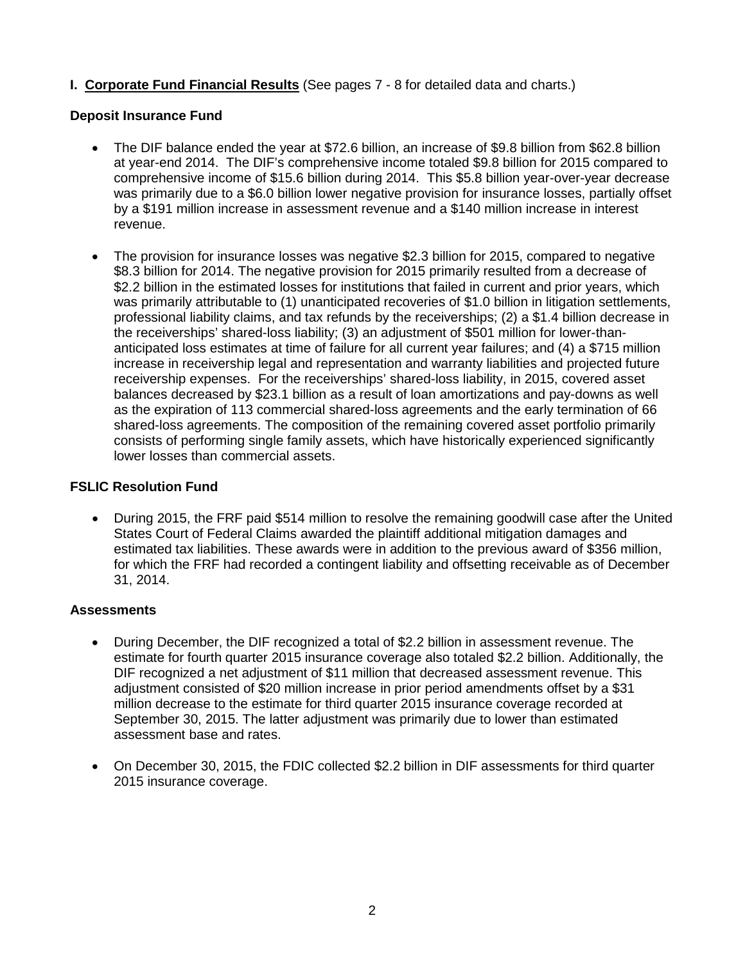**I. Corporate Fund Financial Results** (See pages 7 - 8 for detailed data and charts.)

## **Deposit Insurance Fund**

- The DIF balance ended the year at \$72.6 billion, an increase of \$9.8 billion from \$62.8 billion at year-end 2014. The DIF's comprehensive income totaled \$9.8 billion for 2015 compared to comprehensive income of \$15.6 billion during 2014. This \$5.8 billion year-over-year decrease was primarily due to a \$6.0 billion lower negative provision for insurance losses, partially offset by a \$191 million increase in assessment revenue and a \$140 million increase in interest revenue.
- The provision for insurance losses was negative \$2.3 billion for 2015, compared to negative \$8.3 billion for 2014. The negative provision for 2015 primarily resulted from a decrease of \$2.2 billion in the estimated losses for institutions that failed in current and prior years, which was primarily attributable to (1) unanticipated recoveries of \$1.0 billion in litigation settlements, professional liability claims, and tax refunds by the receiverships; (2) a \$1.4 billion decrease in the receiverships' shared-loss liability; (3) an adjustment of \$501 million for lower-thananticipated loss estimates at time of failure for all current year failures; and (4) a \$715 million increase in receivership legal and representation and warranty liabilities and projected future receivership expenses. For the receiverships' shared-loss liability, in 2015, covered asset balances decreased by \$23.1 billion as a result of loan amortizations and pay-downs as well as the expiration of 113 commercial shared-loss agreements and the early termination of 66 shared-loss agreements. The composition of the remaining covered asset portfolio primarily consists of performing single family assets, which have historically experienced significantly lower losses than commercial assets.

## **FSLIC Resolution Fund**

• During 2015, the FRF paid \$514 million to resolve the remaining goodwill case after the United States Court of Federal Claims awarded the plaintiff additional mitigation damages and estimated tax liabilities. These awards were in addition to the previous award of \$356 million, for which the FRF had recorded a contingent liability and offsetting receivable as of December 31, 2014.

#### **Assessments**

- During December, the DIF recognized a total of \$2.2 billion in assessment revenue. The estimate for fourth quarter 2015 insurance coverage also totaled \$2.2 billion. Additionally, the DIF recognized a net adjustment of \$11 million that decreased assessment revenue. This adjustment consisted of \$20 million increase in prior period amendments offset by a \$31 million decrease to the estimate for third quarter 2015 insurance coverage recorded at September 30, 2015. The latter adjustment was primarily due to lower than estimated assessment base and rates.
- On December 30, 2015, the FDIC collected \$2.2 billion in DIF assessments for third quarter 2015 insurance coverage.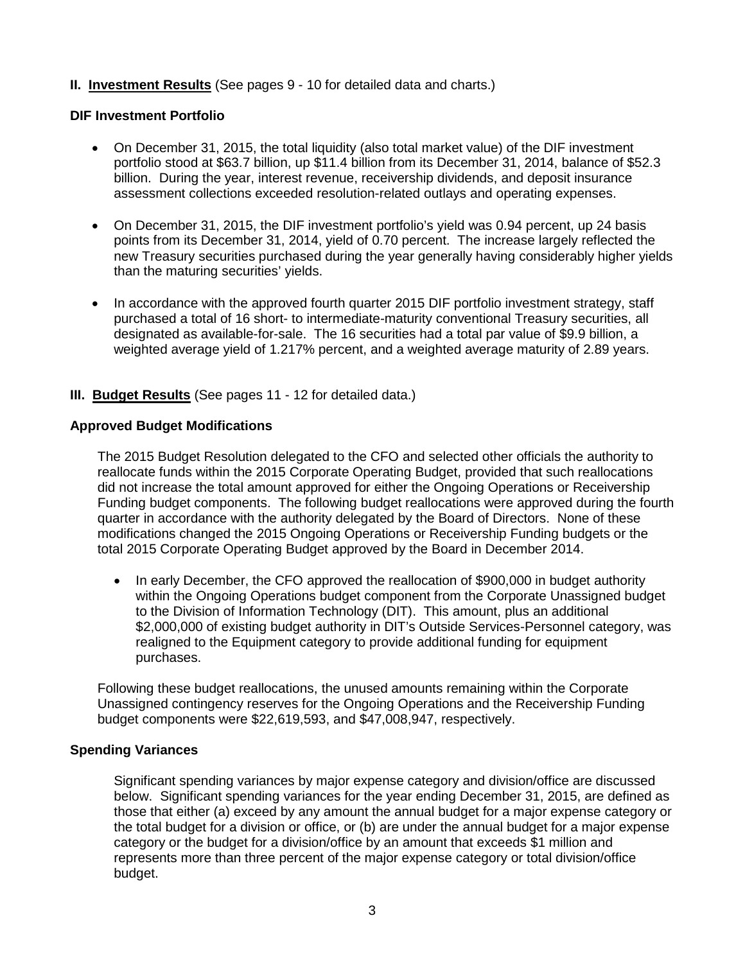## **II. Investment Results** (See pages 9 - 10 for detailed data and charts.)

#### **DIF Investment Portfolio**

- On December 31, 2015, the total liquidity (also total market value) of the DIF investment portfolio stood at \$63.7 billion, up \$11.4 billion from its December 31, 2014, balance of \$52.3 billion. During the year, interest revenue, receivership dividends, and deposit insurance assessment collections exceeded resolution-related outlays and operating expenses.
- On December 31, 2015, the DIF investment portfolio's yield was 0.94 percent, up 24 basis points from its December 31, 2014, yield of 0.70 percent. The increase largely reflected the new Treasury securities purchased during the year generally having considerably higher yields than the maturing securities' yields.
- In accordance with the approved fourth quarter 2015 DIF portfolio investment strategy, staff purchased a total of 16 short- to intermediate-maturity conventional Treasury securities, all designated as available-for-sale. The 16 securities had a total par value of \$9.9 billion, a weighted average yield of 1.217% percent, and a weighted average maturity of 2.89 years.

#### **III. Budget Results** (See pages 11 - 12 for detailed data.)

#### **Approved Budget Modifications**

The 2015 Budget Resolution delegated to the CFO and selected other officials the authority to reallocate funds within the 2015 Corporate Operating Budget, provided that such reallocations did not increase the total amount approved for either the Ongoing Operations or Receivership Funding budget components. The following budget reallocations were approved during the fourth quarter in accordance with the authority delegated by the Board of Directors. None of these modifications changed the 2015 Ongoing Operations or Receivership Funding budgets or the total 2015 Corporate Operating Budget approved by the Board in December 2014.

• In early December, the CFO approved the reallocation of \$900,000 in budget authority within the Ongoing Operations budget component from the Corporate Unassigned budget to the Division of Information Technology (DIT). This amount, plus an additional \$2,000,000 of existing budget authority in DIT's Outside Services-Personnel category, was realigned to the Equipment category to provide additional funding for equipment purchases.

Following these budget reallocations, the unused amounts remaining within the Corporate Unassigned contingency reserves for the Ongoing Operations and the Receivership Funding budget components were \$22,619,593, and \$47,008,947, respectively.

#### **Spending Variances**

Significant spending variances by major expense category and division/office are discussed below. Significant spending variances for the year ending December 31, 2015, are defined as those that either (a) exceed by any amount the annual budget for a major expense category or the total budget for a division or office, or (b) are under the annual budget for a major expense category or the budget for a division/office by an amount that exceeds \$1 million and represents more than three percent of the major expense category or total division/office budget.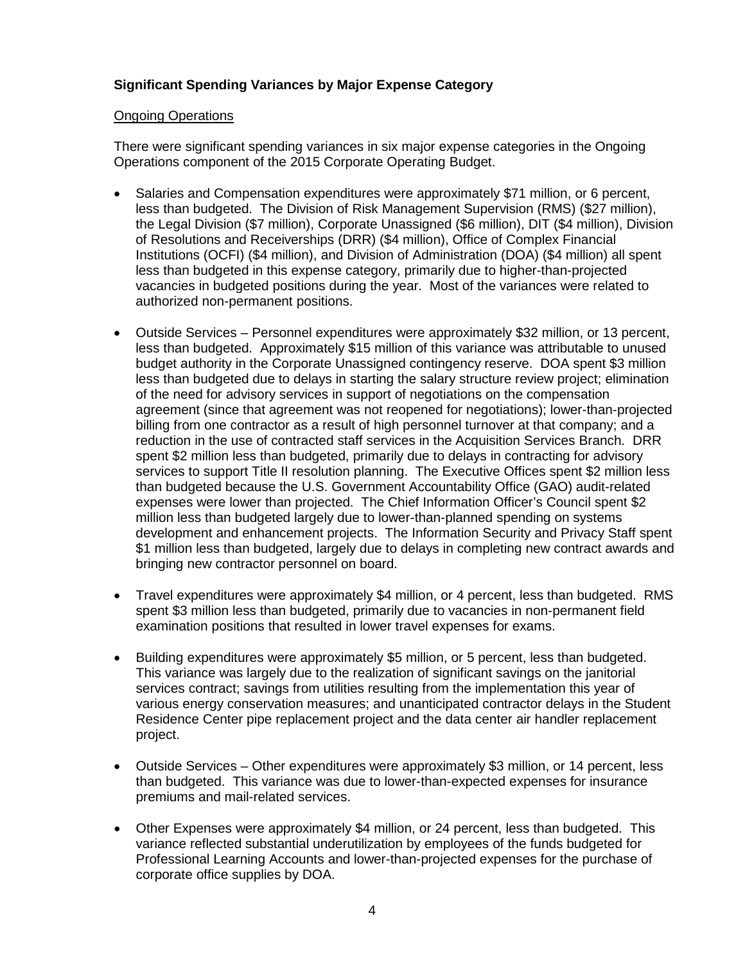## **Significant Spending Variances by Major Expense Category**

#### Ongoing Operations

There were significant spending variances in six major expense categories in the Ongoing Operations component of the 2015 Corporate Operating Budget.

- Salaries and Compensation expenditures were approximately \$71 million, or 6 percent, less than budgeted. The Division of Risk Management Supervision (RMS) (\$27 million), the Legal Division (\$7 million), Corporate Unassigned (\$6 million), DIT (\$4 million), Division of Resolutions and Receiverships (DRR) (\$4 million), Office of Complex Financial Institutions (OCFI) (\$4 million), and Division of Administration (DOA) (\$4 million) all spent less than budgeted in this expense category, primarily due to higher-than-projected vacancies in budgeted positions during the year. Most of the variances were related to authorized non-permanent positions.
- Outside Services Personnel expenditures were approximately \$32 million, or 13 percent, less than budgeted. Approximately \$15 million of this variance was attributable to unused budget authority in the Corporate Unassigned contingency reserve. DOA spent \$3 million less than budgeted due to delays in starting the salary structure review project; elimination of the need for advisory services in support of negotiations on the compensation agreement (since that agreement was not reopened for negotiations); lower-than-projected billing from one contractor as a result of high personnel turnover at that company; and a reduction in the use of contracted staff services in the Acquisition Services Branch. DRR spent \$2 million less than budgeted, primarily due to delays in contracting for advisory services to support Title II resolution planning. The Executive Offices spent \$2 million less than budgeted because the U.S. Government Accountability Office (GAO) audit-related expenses were lower than projected. The Chief Information Officer's Council spent \$2 million less than budgeted largely due to lower-than-planned spending on systems development and enhancement projects. The Information Security and Privacy Staff spent \$1 million less than budgeted, largely due to delays in completing new contract awards and bringing new contractor personnel on board.
- Travel expenditures were approximately \$4 million, or 4 percent, less than budgeted. RMS spent \$3 million less than budgeted, primarily due to vacancies in non-permanent field examination positions that resulted in lower travel expenses for exams.
- Building expenditures were approximately \$5 million, or 5 percent, less than budgeted. This variance was largely due to the realization of significant savings on the janitorial services contract; savings from utilities resulting from the implementation this year of various energy conservation measures; and unanticipated contractor delays in the Student Residence Center pipe replacement project and the data center air handler replacement project.
- Outside Services Other expenditures were approximately \$3 million, or 14 percent, less than budgeted. This variance was due to lower-than-expected expenses for insurance premiums and mail-related services.
- Other Expenses were approximately \$4 million, or 24 percent, less than budgeted. This variance reflected substantial underutilization by employees of the funds budgeted for Professional Learning Accounts and lower-than-projected expenses for the purchase of corporate office supplies by DOA.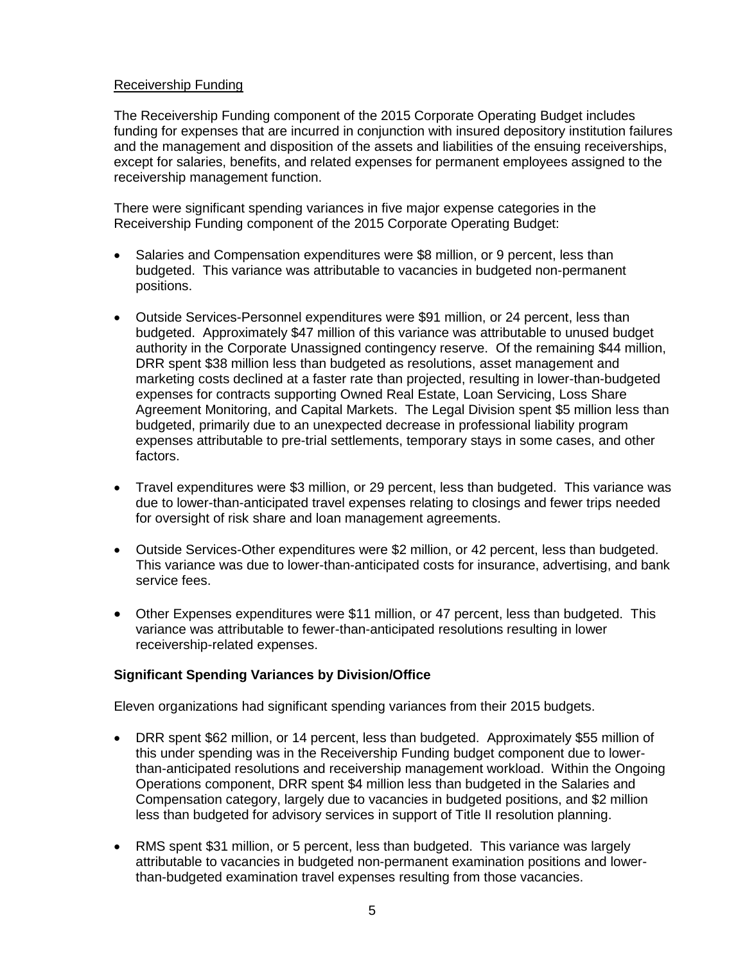## Receivership Funding

The Receivership Funding component of the 2015 Corporate Operating Budget includes funding for expenses that are incurred in conjunction with insured depository institution failures and the management and disposition of the assets and liabilities of the ensuing receiverships, except for salaries, benefits, and related expenses for permanent employees assigned to the receivership management function.

There were significant spending variances in five major expense categories in the Receivership Funding component of the 2015 Corporate Operating Budget:

- Salaries and Compensation expenditures were \$8 million, or 9 percent, less than budgeted. This variance was attributable to vacancies in budgeted non-permanent positions.
- Outside Services-Personnel expenditures were \$91 million, or 24 percent, less than budgeted. Approximately \$47 million of this variance was attributable to unused budget authority in the Corporate Unassigned contingency reserve. Of the remaining \$44 million, DRR spent \$38 million less than budgeted as resolutions, asset management and marketing costs declined at a faster rate than projected, resulting in lower-than-budgeted expenses for contracts supporting Owned Real Estate, Loan Servicing, Loss Share Agreement Monitoring, and Capital Markets. The Legal Division spent \$5 million less than budgeted, primarily due to an unexpected decrease in professional liability program expenses attributable to pre-trial settlements, temporary stays in some cases, and other factors.
- Travel expenditures were \$3 million, or 29 percent, less than budgeted. This variance was due to lower-than-anticipated travel expenses relating to closings and fewer trips needed for oversight of risk share and loan management agreements.
- Outside Services-Other expenditures were \$2 million, or 42 percent, less than budgeted. This variance was due to lower-than-anticipated costs for insurance, advertising, and bank service fees.
- Other Expenses expenditures were \$11 million, or 47 percent, less than budgeted. This variance was attributable to fewer-than-anticipated resolutions resulting in lower receivership-related expenses.

#### **Significant Spending Variances by Division/Office**

Eleven organizations had significant spending variances from their 2015 budgets.

- DRR spent \$62 million, or 14 percent, less than budgeted. Approximately \$55 million of this under spending was in the Receivership Funding budget component due to lowerthan-anticipated resolutions and receivership management workload. Within the Ongoing Operations component, DRR spent \$4 million less than budgeted in the Salaries and Compensation category, largely due to vacancies in budgeted positions, and \$2 million less than budgeted for advisory services in support of Title II resolution planning.
- RMS spent \$31 million, or 5 percent, less than budgeted. This variance was largely attributable to vacancies in budgeted non-permanent examination positions and lowerthan-budgeted examination travel expenses resulting from those vacancies.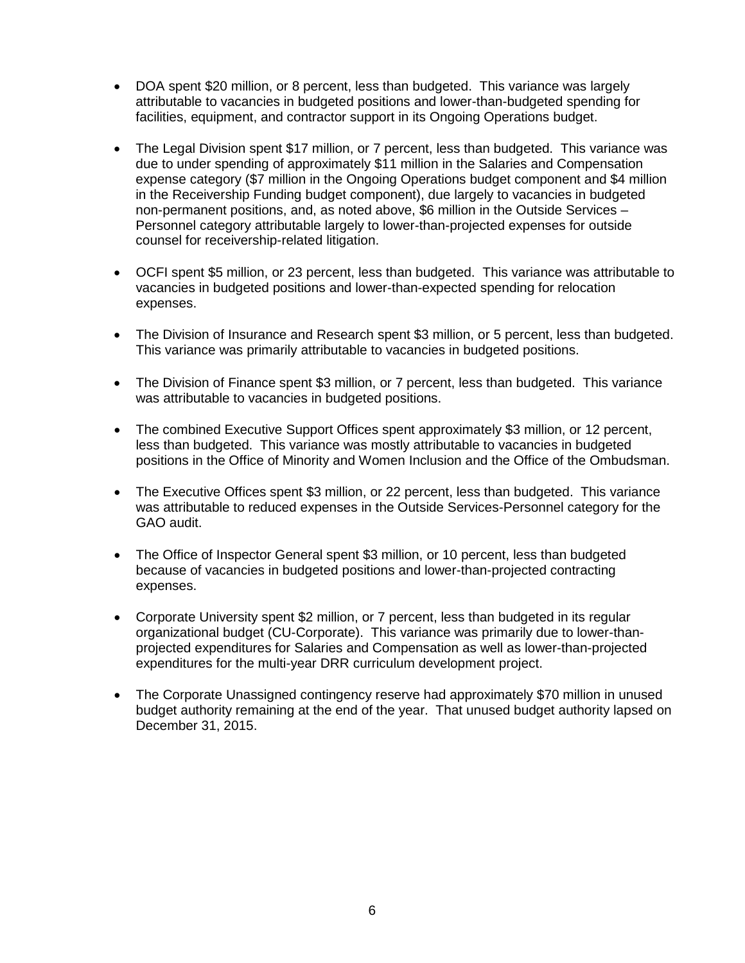- DOA spent \$20 million, or 8 percent, less than budgeted. This variance was largely attributable to vacancies in budgeted positions and lower-than-budgeted spending for facilities, equipment, and contractor support in its Ongoing Operations budget.
- The Legal Division spent \$17 million, or 7 percent, less than budgeted. This variance was due to under spending of approximately \$11 million in the Salaries and Compensation expense category (\$7 million in the Ongoing Operations budget component and \$4 million in the Receivership Funding budget component), due largely to vacancies in budgeted non-permanent positions, and, as noted above, \$6 million in the Outside Services – Personnel category attributable largely to lower-than-projected expenses for outside counsel for receivership-related litigation.
- OCFI spent \$5 million, or 23 percent, less than budgeted. This variance was attributable to vacancies in budgeted positions and lower-than-expected spending for relocation expenses.
- The Division of Insurance and Research spent \$3 million, or 5 percent, less than budgeted. This variance was primarily attributable to vacancies in budgeted positions.
- The Division of Finance spent \$3 million, or 7 percent, less than budgeted. This variance was attributable to vacancies in budgeted positions.
- The combined Executive Support Offices spent approximately \$3 million, or 12 percent, less than budgeted. This variance was mostly attributable to vacancies in budgeted positions in the Office of Minority and Women Inclusion and the Office of the Ombudsman.
- The Executive Offices spent \$3 million, or 22 percent, less than budgeted. This variance was attributable to reduced expenses in the Outside Services-Personnel category for the GAO audit.
- The Office of Inspector General spent \$3 million, or 10 percent, less than budgeted because of vacancies in budgeted positions and lower-than-projected contracting expenses.
- Corporate University spent \$2 million, or 7 percent, less than budgeted in its regular organizational budget (CU-Corporate). This variance was primarily due to lower-thanprojected expenditures for Salaries and Compensation as well as lower-than-projected expenditures for the multi-year DRR curriculum development project.
- The Corporate Unassigned contingency reserve had approximately \$70 million in unused budget authority remaining at the end of the year. That unused budget authority lapsed on December 31, 2015.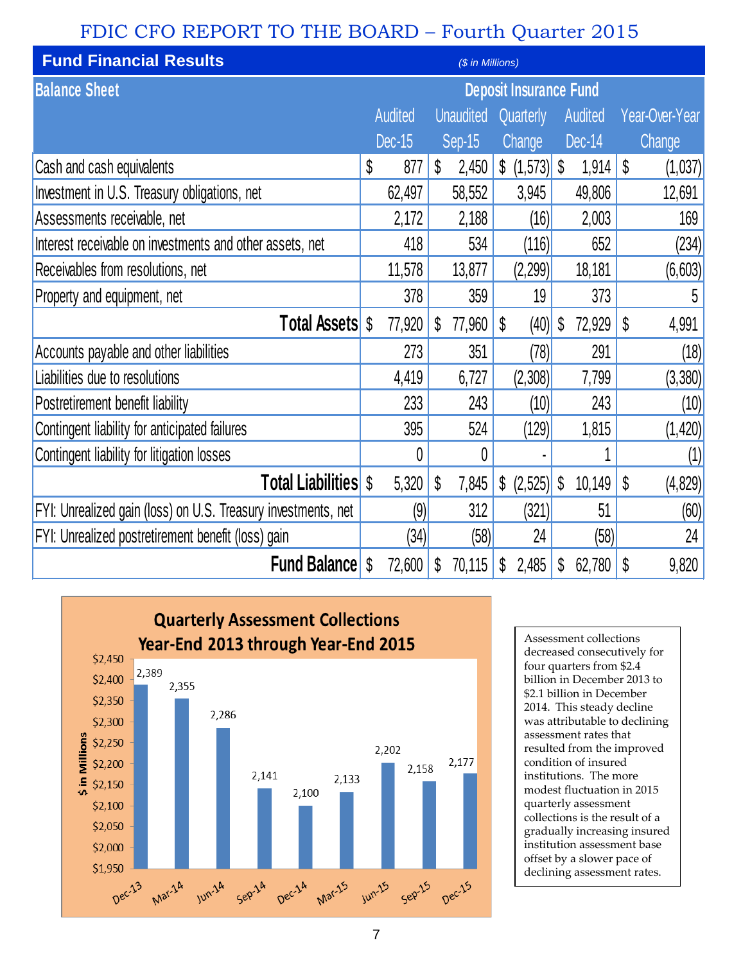# FDIC CFO REPORT TO THE BOARD – Fourth Quarter 2015

| <b>Fund Financial Results</b><br>(\$ in Millions)             |    |               |    |                            |   |                               |                           |         |    |                |
|---------------------------------------------------------------|----|---------------|----|----------------------------|---|-------------------------------|---------------------------|---------|----|----------------|
| <b>Balance Sheet</b>                                          |    |               |    |                            |   | <b>Deposit Insurance Fund</b> |                           |         |    |                |
|                                                               |    | Audited       |    | <b>Unaudited Quarterly</b> |   |                               |                           | Audited |    | Year-Over-Year |
|                                                               |    | <b>Dec-15</b> |    | Sep-15                     |   | Change                        |                           | Dec-14  |    | Change         |
| Cash and cash equivalents                                     | \$ | 877           | \$ | 2,450                      |   |                               |                           | 1,914   | \$ | (1,037)        |
| Investment in U.S. Treasury obligations, net                  |    | 62,497        |    | 58,552                     |   | 3,945                         |                           | 49,806  |    | 12,691         |
| Assessments receivable, net                                   |    | 2,172         |    | 2,188                      |   | (16)                          |                           | 2,003   |    | 169            |
| Interest receivable on investments and other assets, net      |    | 418           |    | 534                        |   | (116)                         |                           | 652     |    | (234)          |
| Receivables from resolutions, net                             |    | 11,578        |    | 13,877                     |   | (2,299)                       |                           | 18,181  |    | (6,603)        |
| Property and equipment, net                                   |    | 378           |    | 359                        |   | 19                            |                           | 373     |    | 5              |
| <b>Total Assets</b>                                           | S  | 77,920        | S  | 77,960                     | S | (40)                          | $\boldsymbol{\mathsf{S}}$ | 72,929  | S  | 4,991          |
| Accounts payable and other liabilities                        |    | 273           |    | 351                        |   | (78)                          |                           | 291     |    | (18)           |
| Liabilities due to resolutions                                |    | 4,419         |    | 6,727                      |   | (2,308)                       |                           | 7,799   |    | (3, 380)       |
| Postretirement benefit liability                              |    | 233           |    | 243                        |   | (10)                          |                           | 243     |    | (10)           |
| Contingent liability for anticipated failures                 |    | 395           |    | 524                        |   | (129)                         |                           | 1,815   |    | (1, 420)       |
| Contingent liability for litigation losses                    |    | 0             |    | 0                          |   |                               |                           |         |    | (1)            |
| <b>Total Liabilities</b> \$                                   |    | 5,320         | \$ | 7,845                      |   | $\{2,525\}$                   | $\boldsymbol{\mathsf{S}}$ | 10,149  | \$ | (4,829)        |
| FYI: Unrealized gain (loss) on U.S. Treasury investments, net |    | (9)           |    | 312                        |   | (321)                         |                           | 51      |    | (60)           |
| FYI: Unrealized postretirement benefit (loss) gain            |    | (34)          |    | (58)                       |   | 24                            |                           | (58)    |    | 24             |
| <b>Fund Balance</b>                                           | S  | 72,600        | S  | 70,115                     | S | 2,485                         | S                         | 62,780  | \$ | 9,820          |



Assessment collections decreased consecutively for four quarters from \$2.4 billion in December 2013 to \$2.1 billion in December 2014. This steady decline was attributable to declining assessment rates that resulted from the improved condition of insured institutions. The more modest fluctuation in 2015 quarterly assessment collections is the result of a gradually increasing insured institution assessment base offset by a slower pace of declining assessment rates.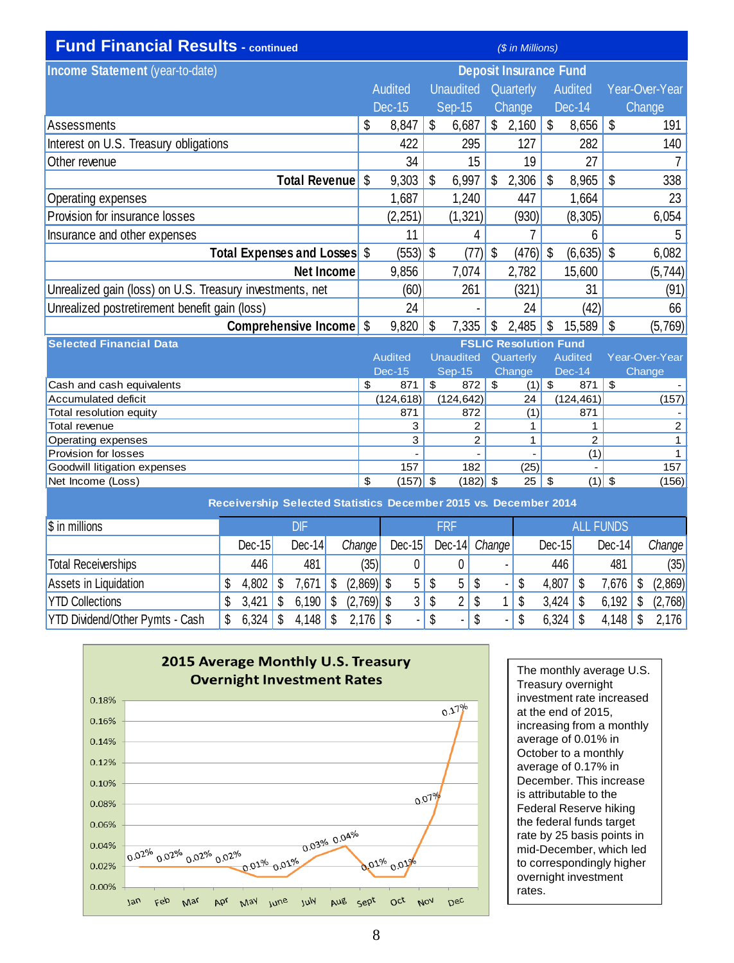| <b>Fund Financial Results - continued</b>                | (\$ in Millions) |                |                           |                  |    |                               |    |                |    |                |
|----------------------------------------------------------|------------------|----------------|---------------------------|------------------|----|-------------------------------|----|----------------|----|----------------|
| Income Statement (year-to-date)                          |                  |                |                           |                  |    | <b>Deposit Insurance Fund</b> |    |                |    |                |
|                                                          |                  | Audited        |                           | <b>Unaudited</b> |    | Quarterly                     |    | Audited        |    | Year-Over-Year |
|                                                          |                  | Dec-15         |                           | Sep-15           |    | Change                        |    | Dec-14         |    | Change         |
| Assessments                                              | \$               | 8,847          | \$                        | 6,687            |    | \$2,160                       | \$ | 8,656          | \$ | 191            |
| Interest on U.S. Treasury obligations                    |                  | 422            |                           | 295              |    | 127                           |    | 282            |    | 140            |
| Other revenue                                            |                  | 34             |                           | 15               |    | 19                            |    | 27             |    |                |
| <b>Total Revenue</b>                                     | -\$              | 9,303          | \$                        | 6,997            | \$ | 2,306                         | \$ | 8,965          | \$ | 338            |
| Operating expenses                                       |                  | 1,687          |                           | 1,240            |    | 447                           |    | 1,664          |    | 23             |
| Provision for insurance losses                           |                  | (2, 251)       |                           | (1, 321)         |    | (930)                         |    | (8, 305)       |    | 6,054          |
| Insurance and other expenses                             |                  | 11             |                           | 4                |    |                               |    | 6              |    | 5              |
| Total Expenses and Losses \$                             |                  | (553)          | $\boldsymbol{\mathsf{S}}$ | (77)             | \$ | (476)                         | \$ | (6,635)        | \$ | 6,082          |
| <b>Net Income</b>                                        |                  | 9,856          |                           | 7,074            |    | 2,782                         |    | 15,600         |    | (5, 744)       |
| Unrealized gain (loss) on U.S. Treasury investments, net |                  | (60)           |                           | 261              |    | (321)                         |    | 31             |    | (91)           |
| Unrealized postretirement benefit gain (loss)            |                  | 24             |                           | $\blacksquare$   |    | 24                            |    | (42)           |    | 66             |
| Comprehensive Income <sup>S</sup>                        |                  | 9,820          | \$                        | 7,335            | \$ | 2,485                         | \$ | 15,589         | \$ | (5,769)        |
| <b>Selected Financial Data</b>                           |                  |                |                           |                  |    | <b>FSLIC Resolution Fund</b>  |    |                |    |                |
|                                                          |                  | <b>Audited</b> |                           | <b>Unaudited</b> |    | Quarterly                     |    | <b>Audited</b> |    | Year-Over-Year |
|                                                          |                  | Dec-15         |                           | $Sep-15$         |    | Change                        |    | $Dec-14$       |    | Change         |
| Cash and cash equivalents                                | \$               | 871            | \$                        | 872              | \$ | $(1)$ \$                      |    | 871            | \$ |                |
| <b>Accumulated deficit</b>                               |                  | (124, 618)     |                           | (124, 642)       |    | 24                            |    | (124, 461)     |    | (157)          |
| Total resolution equity                                  |                  | 871            |                           | 872              |    | (1)                           |    | 871            |    |                |
| Total revenue                                            |                  | 3              |                           | 2                |    | 1                             |    | 1              |    | $\overline{2}$ |
| Operating expenses                                       |                  | 3              |                           | 2                |    | 1                             |    | $\overline{2}$ |    | $\mathbf{1}$   |
| Provision for losses                                     |                  |                |                           |                  |    |                               |    | (1)            |    | $\mathbf{1}$   |
| Goodwill litigation expenses                             |                  | 157            |                           | 182              |    | (25)                          |    |                |    | 157            |
| Net Income (Loss)                                        | \$               | (157)          | \$                        | (182)            | \$ | 25                            | \$ | (1)            | \$ | (156)          |

| Receivership Selected Statistics December 2015 vs. December 2014 |          |            |              |                          |                |                      |          |                  |         |  |
|------------------------------------------------------------------|----------|------------|--------------|--------------------------|----------------|----------------------|----------|------------------|---------|--|
| \$ in millions                                                   |          | DIF        |              |                          | FRF            |                      |          | <b>ALL FUNDS</b> |         |  |
|                                                                  | $Dec-15$ | $Dec-14$   | Change       | $Dec-15$                 |                | Dec-14 Change        | $Dec-15$ | $Dec-14$         | Change  |  |
| <b>Total Receiverships</b>                                       | 446      | 481        | (35)         |                          |                |                      | 446      | 481              | (35)    |  |
| Assets in Liquidation                                            | 4,802    | 7,671      | $(2,869)$ \$ | 5.                       | 5 <sub>1</sub> | S<br>$\blacksquare$  | 4,807    | 7,676            | (2,869) |  |
| <b>YTD Collections</b>                                           | 3,421    | 6,190<br>S | $(2,769)$ \$ | 3                        | \$<br>2        | S                    | 3,424    | 6,192            | (2,768) |  |
| YTD Dividend/Other Pymts - Cash                                  | 6,324    | 4,148      |              | $\overline{\phantom{0}}$ | S<br>٠         | \$<br>$\blacksquare$ | 6,324    | 4,148            | 2,176   |  |



The monthly average U.S. Treasury overnight investment rate increased at the end of 2015, increasing from a monthly average of 0.01% in October to a monthly average of 0.17% in December. This increase is attributable to the Federal Reserve hiking the federal funds target rate by 25 basis points in mid-December, which led to correspondingly higher overnight investment rates.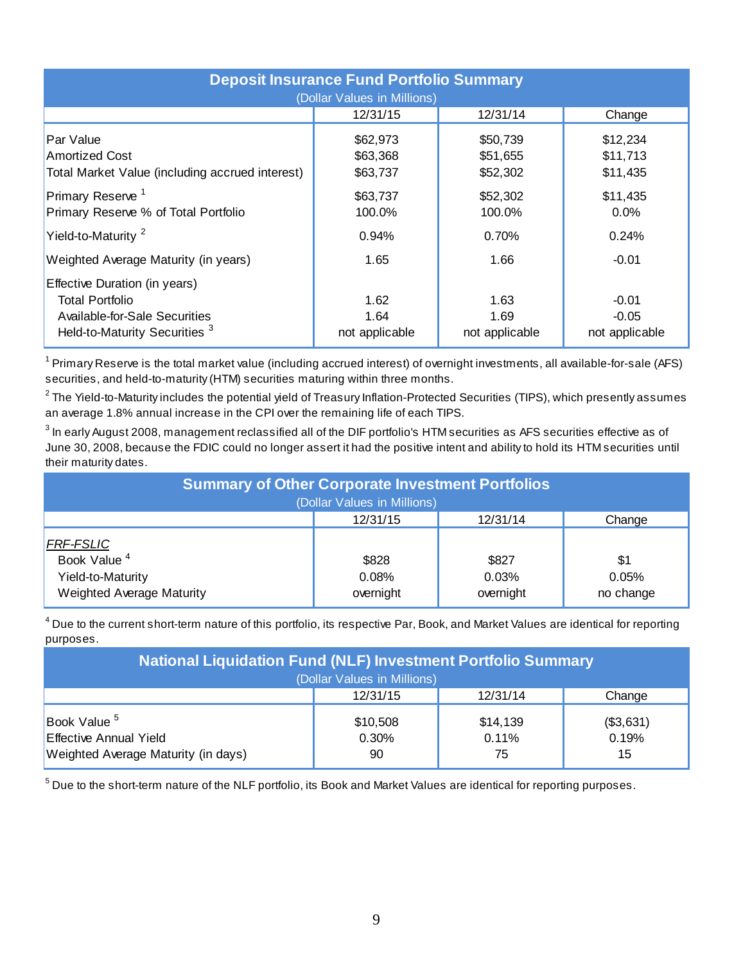| <b>Deposit Insurance Fund Portfolio Summary</b><br>(Dollar Values in Millions)                                                       |                                  |                                  |                                      |  |  |  |  |  |  |
|--------------------------------------------------------------------------------------------------------------------------------------|----------------------------------|----------------------------------|--------------------------------------|--|--|--|--|--|--|
|                                                                                                                                      | 12/31/15                         | 12/31/14                         | Change                               |  |  |  |  |  |  |
| Par Value<br><b>Amortized Cost</b><br>Total Market Value (including accrued interest)                                                | \$62,973<br>\$63,368<br>\$63,737 | \$50,739<br>\$51,655<br>\$52,302 | \$12,234<br>\$11,713<br>\$11,435     |  |  |  |  |  |  |
| Primary Reserve <sup>1</sup><br>Primary Reserve % of Total Portfolio                                                                 | \$63,737<br>100.0%               | \$52,302<br>100.0%               | \$11,435<br>0.0%                     |  |  |  |  |  |  |
| Yield-to-Maturity <sup>2</sup>                                                                                                       | 0.94%                            | 0.70%                            | 0.24%                                |  |  |  |  |  |  |
| Weighted Average Maturity (in years)                                                                                                 | 1.65                             | 1.66                             | $-0.01$                              |  |  |  |  |  |  |
| Effective Duration (in years)<br><b>Total Portfolio</b><br>Available-for-Sale Securities<br>Held-to-Maturity Securities <sup>3</sup> | 1.62<br>1.64<br>not applicable   | 1.63<br>1.69<br>not applicable   | $-0.01$<br>$-0.05$<br>not applicable |  |  |  |  |  |  |

<sup>1</sup> Primary Reserve is the total market value (including accrued interest) of overnight investments, all available-for-sale (AFS) securities, and held-to-maturity (HTM) securities maturing within three months.

 $^{\rm 2}$ The Yield-to-Maturity includes the potential yield of Treasury Inflation-Protected Securities (TIPS), which presently assumes an average 1.8% annual increase in the CPI over the remaining life of each TIPS.

 $^3$  In early August 2008, management reclassified all of the DIF portfolio's HTM securities as AFS securities effective as of June 30, 2008, because the FDIC could no longer assert it had the positive intent and ability to hold its HTM securities until their maturity dates.

| <b>Summary of Other Corporate Investment Portfolios</b><br>(Dollar Values in Millions)        |                             |                             |                           |  |  |  |  |  |
|-----------------------------------------------------------------------------------------------|-----------------------------|-----------------------------|---------------------------|--|--|--|--|--|
|                                                                                               | 12/31/15                    | 12/31/14                    | Change                    |  |  |  |  |  |
| <b>FRF-FSLIC</b><br>Book Value <sup>4</sup><br>Yield-to-Maturity<br>Weighted Average Maturity | \$828<br>0.08%<br>overnight | \$827<br>0.03%<br>overnight | \$1<br>0.05%<br>no change |  |  |  |  |  |

 $^4$  Due to the current short-term nature of this portfolio, its respective Par, Book, and Market Values are identical for reporting purposes.

| <b>National Liquidation Fund (NLF) Investment Portfolio Summary</b><br>(Dollar Values in Millions) |                         |                         |                          |  |  |  |  |  |
|----------------------------------------------------------------------------------------------------|-------------------------|-------------------------|--------------------------|--|--|--|--|--|
|                                                                                                    | 12/31/15                | 12/31/14                | Change                   |  |  |  |  |  |
| Book Value <sup>5</sup><br><b>Effective Annual Yield</b><br>Weighted Average Maturity (in days)    | \$10,508<br>0.30%<br>90 | \$14,139<br>0.11%<br>75 | (\$3,631)<br>0.19%<br>15 |  |  |  |  |  |

 $^5$  Due to the short-term nature of the NLF portfolio, its Book and Market Values are identical for reporting purposes.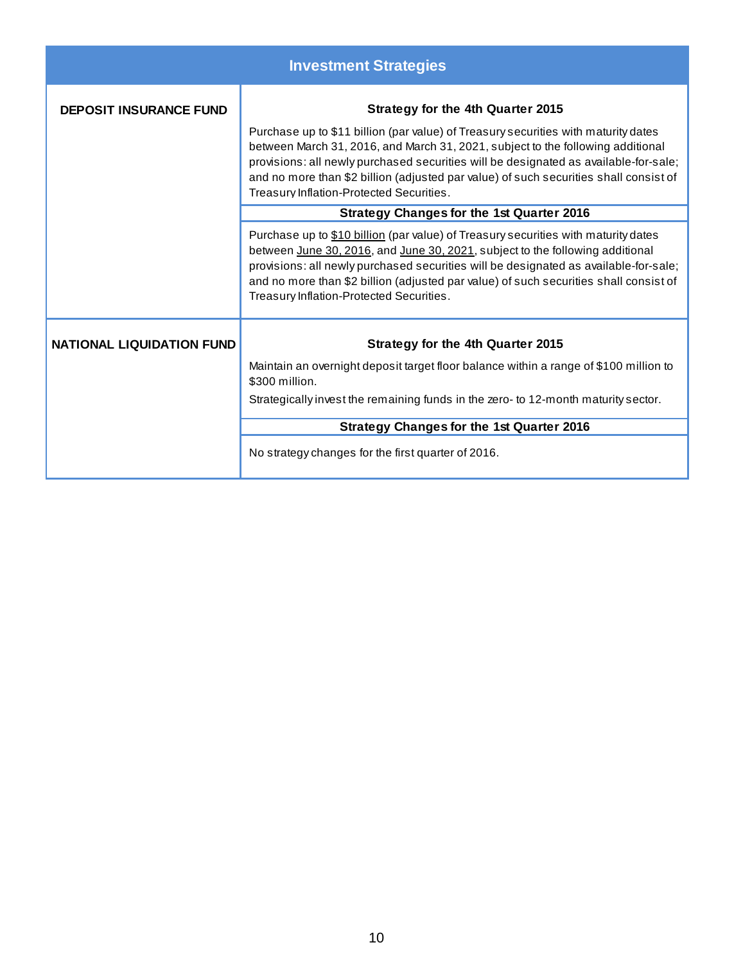| <b>Investment Strategies</b>     |                                                                                                                                                                                                                                                                                                                                                                                                    |  |  |  |  |  |  |  |
|----------------------------------|----------------------------------------------------------------------------------------------------------------------------------------------------------------------------------------------------------------------------------------------------------------------------------------------------------------------------------------------------------------------------------------------------|--|--|--|--|--|--|--|
| <b>DEPOSIT INSURANCE FUND</b>    | <b>Strategy for the 4th Quarter 2015</b>                                                                                                                                                                                                                                                                                                                                                           |  |  |  |  |  |  |  |
|                                  | Purchase up to \$11 billion (par value) of Treasury securities with maturity dates<br>between March 31, 2016, and March 31, 2021, subject to the following additional<br>provisions: all newly purchased securities will be designated as available-for-sale;<br>and no more than \$2 billion (adjusted par value) of such securities shall consist of<br>Treasury Inflation-Protected Securities. |  |  |  |  |  |  |  |
|                                  | <b>Strategy Changes for the 1st Quarter 2016</b>                                                                                                                                                                                                                                                                                                                                                   |  |  |  |  |  |  |  |
|                                  | Purchase up to \$10 billion (par value) of Treasury securities with maturity dates<br>between June 30, 2016, and June 30, 2021, subject to the following additional<br>provisions: all newly purchased securities will be designated as available-for-sale;<br>and no more than \$2 billion (adjusted par value) of such securities shall consist of<br>Treasury Inflation-Protected Securities.   |  |  |  |  |  |  |  |
| <b>NATIONAL LIQUIDATION FUND</b> | Strategy for the 4th Quarter 2015                                                                                                                                                                                                                                                                                                                                                                  |  |  |  |  |  |  |  |
|                                  | Maintain an overnight deposit target floor balance within a range of \$100 million to<br>\$300 million.                                                                                                                                                                                                                                                                                            |  |  |  |  |  |  |  |
|                                  | Strategically invest the remaining funds in the zero- to 12-month maturity sector.                                                                                                                                                                                                                                                                                                                 |  |  |  |  |  |  |  |
|                                  | <b>Strategy Changes for the 1st Quarter 2016</b>                                                                                                                                                                                                                                                                                                                                                   |  |  |  |  |  |  |  |
|                                  | No strategy changes for the first quarter of 2016.                                                                                                                                                                                                                                                                                                                                                 |  |  |  |  |  |  |  |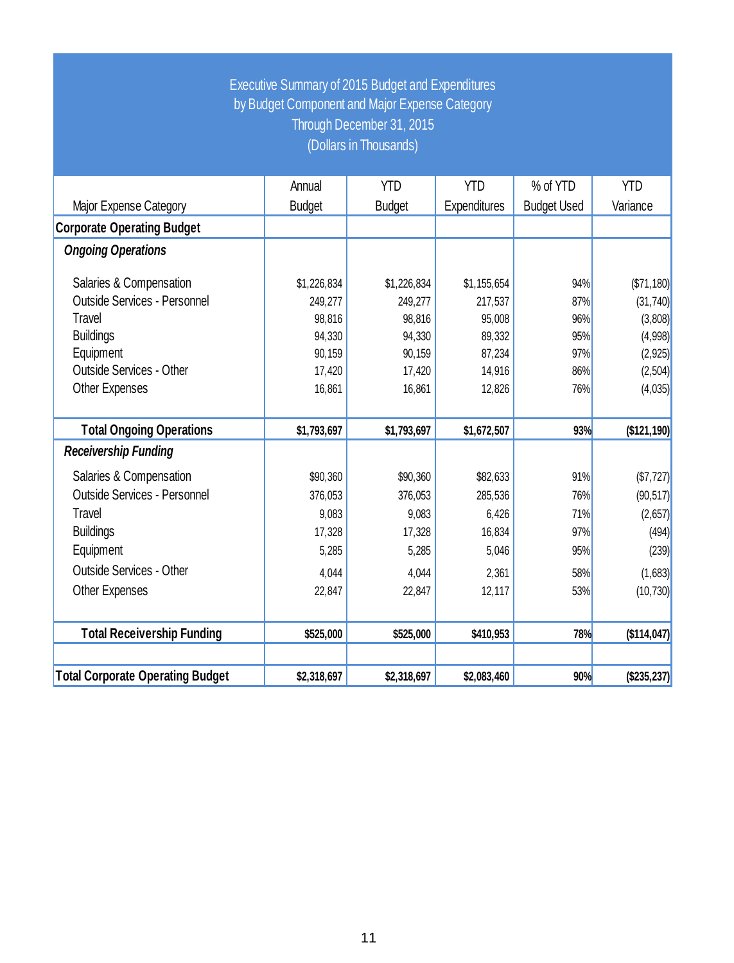## Executive Summary of 2015 Budget and Expenditures by Budget Component and Major Expense Category Through December 31, 2015 (Dollars in Thousands)

|                                         | Annual        | <b>YTD</b>    | <b>YTD</b>   | % of YTD           | <b>YTD</b>  |
|-----------------------------------------|---------------|---------------|--------------|--------------------|-------------|
| Major Expense Category                  | <b>Budget</b> | <b>Budget</b> | Expenditures | <b>Budget Used</b> | Variance    |
| <b>Corporate Operating Budget</b>       |               |               |              |                    |             |
| <b>Ongoing Operations</b>               |               |               |              |                    |             |
| Salaries & Compensation                 | \$1,226,834   | \$1,226,834   | \$1,155,654  | 94%                | (\$71,180)  |
| <b>Outside Services - Personnel</b>     | 249,277       | 249,277       | 217,537      | 87%                | (31, 740)   |
| Travel                                  | 98,816        | 98,816        | 95,008       | 96%                | (3,808)     |
| <b>Buildings</b>                        | 94,330        | 94,330        | 89,332       | 95%                | (4,998)     |
| Equipment                               | 90,159        | 90,159        | 87,234       | 97%                | (2, 925)    |
| <b>Outside Services - Other</b>         | 17,420        | 17,420        | 14,916       | 86%                | (2,504)     |
| Other Expenses                          | 16,861        | 16,861        | 12,826       | 76%                | (4,035)     |
|                                         |               |               |              |                    |             |
| <b>Total Ongoing Operations</b>         | \$1,793,697   | \$1,793,697   | \$1,672,507  | 93%                | (\$121,190) |
| <b>Receivership Funding</b>             |               |               |              |                    |             |
| Salaries & Compensation                 | \$90,360      | \$90,360      | \$82,633     | 91%                | (\$7,727)   |
| <b>Outside Services - Personnel</b>     | 376,053       | 376,053       | 285,536      | 76%                | (90, 517)   |
| Travel                                  | 9,083         | 9,083         | 6,426        | 71%                | (2,657)     |
| <b>Buildings</b>                        | 17,328        | 17,328        | 16,834       | 97%                | (494)       |
| Equipment                               | 5,285         | 5,285         | 5,046        | 95%                | (239)       |
| <b>Outside Services - Other</b>         | 4,044         | 4,044         | 2,361        | 58%                | (1,683)     |
| Other Expenses                          | 22,847        | 22,847        | 12,117       | 53%                | (10, 730)   |
|                                         |               |               |              |                    |             |
| <b>Total Receivership Funding</b>       | \$525,000     | \$525,000     | \$410,953    | 78%                | (\$114,047) |
|                                         |               |               |              |                    |             |
| <b>Total Corporate Operating Budget</b> | \$2,318,697   | \$2,318,697   | \$2,083,460  | 90%                | (\$235,237) |